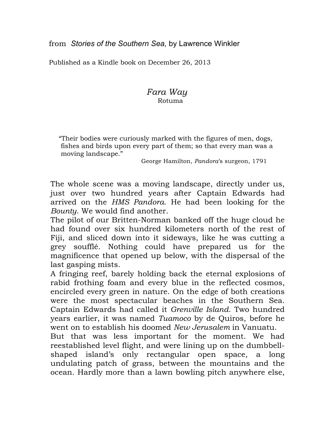Published as a Kindle book on December 26, 2013

## *Fara Way*Rotuma

"Their bodies were curiously marked with the figures of men, dogs, fishes and birds upon every part of them; so that every man was a moving landscape."

George Hamilton, *Pandora*'s surgeon, 1791

The whole scene was a moving landscape, directly under us, just over two hundred years after Captain Edwards had arrived on the *HMS Pandora*. He had been looking for the *Bounty*. We would find another.

The pilot of our Britten-Norman banked off the huge cloud he had found over six hundred kilometers north of the rest of Fiji, and sliced down into it sideways, like he was cutting a grey soufflé. Nothing could have prepared us for the magnificence that opened up below, with the dispersal of the last gasping mists.

A fringing reef, barely holding back the eternal explosions of rabid frothing foam and every blue in the reflected cosmos, encircled every green in nature. On the edge of both creations were the most spectacular beaches in the Southern Sea. Captain Edwards had called it *Grenville Island*. Two hundred years earlier, it was named *Tuamoco* by de Quiros, before he went on to establish his doomed *New Jerusalem* in Vanuatu.

But that was less important for the moment. We had reestablished level flight, and were lining up on the dumbbellshaped island's only rectangular open space, a long undulating patch of grass, between the mountains and the ocean. Hardly more than a lawn bowling pitch anywhere else,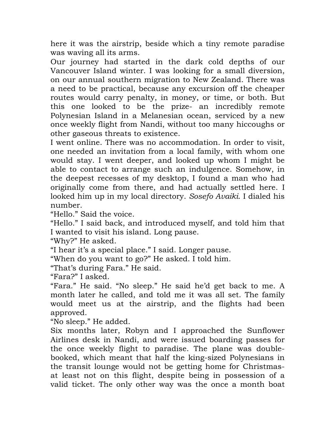here it was the airstrip, beside which a tiny remote paradise was waving all its arms.

Our journey had started in the dark cold depths of our Vancouver Island winter. I was looking for a small diversion, on our annual southern migration to New Zealand. There was a need to be practical, because any excursion off the cheaper routes would carry penalty, in money, or time, or both. But this one looked to be the prize- an incredibly remote Polynesian Island in a Melanesian ocean, serviced by a new once weekly flight from Nandi, without too many hiccoughs or other gaseous threats to existence.

I went online. There was no accommodation. In order to visit, one needed an invitation from a local family, with whom one would stay. I went deeper, and looked up whom I might be able to contact to arrange such an indulgence. Somehow, in the deepest recesses of my desktop, I found a man who had originally come from there, and had actually settled here. I looked him up in my local directory. *Sosefo Avaiki*. I dialed his number.

"Hello." Said the voice.

"Hello." I said back, and introduced myself, and told him that I wanted to visit his island. Long pause.

"Why?" He asked.

"I hear it's a special place." I said. Longer pause.

"When do you want to go?" He asked. I told him.

"That's during Fara." He said.

"Fara?" I asked.

"Fara." He said. "No sleep." He said he'd get back to me. A month later he called, and told me it was all set. The family would meet us at the airstrip, and the flights had been approved.

"No sleep." He added.

Six months later, Robyn and I approached the Sunflower Airlines desk in Nandi, and were issued boarding passes for the once weekly flight to paradise. The plane was doublebooked, which meant that half the king-sized Polynesians in the transit lounge would not be getting home for Christmasat least not on this flight, despite being in possession of a valid ticket. The only other way was the once a month boat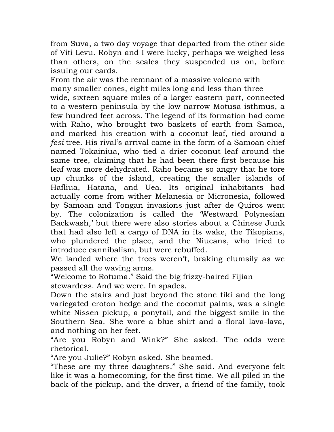from Suva, a two day voyage that departed from the other side of Viti Levu. Robyn and I were lucky, perhaps we weighed less than others, on the scales they suspended us on, before issuing our cards.

From the air was the remnant of a massive volcano with many smaller cones, eight miles long and less than three wide, sixteen square miles of a larger eastern part, connected to a western peninsula by the low narrow Motusa isthmus, a few hundred feet across. The legend of its formation had come with Raho, who brought two baskets of earth from Samoa, and marked his creation with a coconut leaf, tied around a *fesi* tree. His rival's arrival came in the form of a Samoan chief named Tokainiua, who tied a drier coconut leaf around the same tree, claiming that he had been there first because his leaf was more dehydrated. Raho became so angry that he tore up chunks of the island, creating the smaller islands of Hafliua, Hatana, and Uea. Its original inhabitants had actually come from wither Melanesia or Micronesia, followed by Samoan and Tongan invasions just after de Quiros went by. The colonization is called the 'Westward Polynesian Backwash,' but there were also stories about a Chinese Junk that had also left a cargo of DNA in its wake, the Tikopians, who plundered the place, and the Niueans, who tried to introduce cannibalism, but were rebuffed.

We landed where the trees weren't, braking clumsily as we passed all the waving arms.

"Welcome to Rotuma." Said the big frizzy-haired Fijian stewardess. And we were. In spades.

Down the stairs and just beyond the stone tiki and the long variegated croton hedge and the coconut palms, was a single white Nissen pickup, a ponytail, and the biggest smile in the Southern Sea. She wore a blue shirt and a floral lava-lava, and nothing on her feet.

"Are you Robyn and Wink?" She asked. The odds were rhetorical.

"Are you Julie?" Robyn asked. She beamed.

"These are my three daughters." She said. And everyone felt like it was a homecoming, for the first time. We all piled in the back of the pickup, and the driver, a friend of the family, took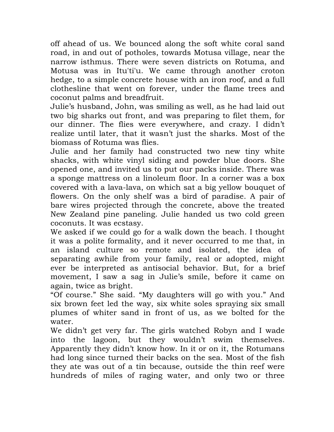off ahead of us. We bounced along the soft white coral sand road, in and out of potholes, towards Motusa village, near the narrow isthmus. There were seven districts on Rotuma, and Motusa was in Itu'ti'u. We came through another croton hedge, to a simple concrete house with an iron roof, and a full clothesline that went on forever, under the flame trees and coconut palms and breadfruit.

Julie's husband, John, was smiling as well, as he had laid out two big sharks out front, and was preparing to filet them, for our dinner. The flies were everywhere, and crazy. I didn't realize until later, that it wasn't just the sharks. Most of the biomass of Rotuma was flies.

Julie and her family had constructed two new tiny white shacks, with white vinyl siding and powder blue doors. She opened one, and invited us to put our packs inside. There was a sponge mattress on a linoleum floor. In a corner was a box covered with a lava-lava, on which sat a big yellow bouquet of flowers. On the only shelf was a bird of paradise. A pair of bare wires projected through the concrete, above the treated New Zealand pine paneling. Julie handed us two cold green coconuts. It was ecstasy.

We asked if we could go for a walk down the beach. I thought it was a polite formality, and it never occurred to me that, in an island culture so remote and isolated, the idea of separating awhile from your family, real or adopted, might ever be interpreted as antisocial behavior. But, for a brief movement, I saw a sag in Julie's smile, before it came on again, twice as bright.

"Of course." She said. "My daughters will go with you." And six brown feet led the way, six white soles spraying six small plumes of whiter sand in front of us, as we bolted for the water.

We didn't get very far. The girls watched Robyn and I wade into the lagoon, but they wouldn't swim themselves. Apparently they didn't know how. In it or on it, the Rotumans had long since turned their backs on the sea. Most of the fish they ate was out of a tin because, outside the thin reef were hundreds of miles of raging water, and only two or three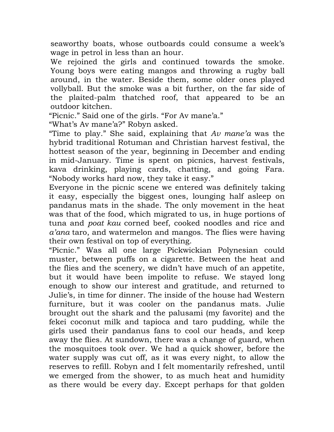seaworthy boats, whose outboards could consume a week's wage in petrol in less than an hour.

We rejoined the girls and continued towards the smoke. Young boys were eating mangos and throwing a rugby ball around, in the water. Beside them, some older ones played vollyball. But the smoke was a bit further, on the far side of the plaited-palm thatched roof, that appeared to be an outdoor kitchen.

"Picnic." Said one of the girls. "For Av mane'a."

"What's Av mane'a?" Robyn asked.

"Time to play." She said, explaining that *Av mane'a* was the hybrid traditional Rotuman and Christian harvest festival, the hottest season of the year, beginning in December and ending in mid-January. Time is spent on picnics, harvest festivals, kava drinking, playing cards, chatting, and going Fara. "Nobody works hard now, they take it easy."

Everyone in the picnic scene we entered was definitely taking it easy, especially the biggest ones, lounging half asleep on pandanus mats in the shade. The only movement in the heat was that of the food, which migrated to us, in huge portions of tuna and *poat kau* corned beef, cooked noodles and rice and *a'ana* taro, and watermelon and mangos. The flies were having their own festival on top of everything.

"Picnic." Was all one large Pickwickian Polynesian could muster, between puffs on a cigarette. Between the heat and the flies and the scenery, we didn't have much of an appetite, but it would have been impolite to refuse. We stayed long enough to show our interest and gratitude, and returned to Julie's, in time for dinner. The inside of the house had Western furniture, but it was cooler on the pandanus mats. Julie brought out the shark and the palusami (my favorite) and the fekei coconut milk and tapioca and taro pudding, while the girls used their pandanus fans to cool our heads, and keep away the flies. At sundown, there was a change of guard, when the mosquitoes took over. We had a quick shower, before the water supply was cut off, as it was every night, to allow the reserves to refill. Robyn and I felt momentarily refreshed, until we emerged from the shower, to as much heat and humidity as there would be every day. Except perhaps for that golden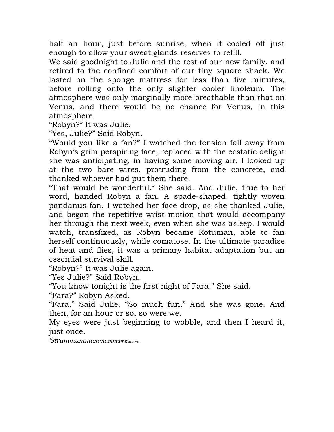half an hour, just before sunrise, when it cooled off just enough to allow your sweat glands reserves to refill.

We said goodnight to Julie and the rest of our new family, and retired to the confined comfort of our tiny square shack. We lasted on the sponge mattress for less than five minutes, before rolling onto the only slighter cooler linoleum. The atmosphere was only marginally more breathable than that on Venus, and there would be no chance for Venus, in this atmosphere.

"Robyn?" It was Julie.

"Yes, Julie?" Said Robyn.

"Would you like a fan?" I watched the tension fall away from Robyn's grim perspiring face, replaced with the ecstatic delight she was anticipating, in having some moving air. I looked up at the two bare wires, protruding from the concrete, and thanked whoever had put them there.

"That would be wonderful." She said. And Julie, true to her word, handed Robyn a fan. A spade-shaped, tightly woven pandanus fan. I watched her face drop, as she thanked Julie, and began the repetitive wrist motion that would accompany her through the next week, even when she was asleep. I would watch, transfixed, as Robyn became Rotuman, able to fan herself continuously, while comatose. In the ultimate paradise of heat and flies, it was a primary habitat adaptation but an essential survival skill.

"Robyn?" It was Julie again.

"Yes Julie?" Said Robyn.

"You know tonight is the first night of Fara." She said.

"Fara?" Robyn Asked.

"Fara." Said Julie. "So much fun." And she was gone. And then, for an hour or so, so were we.

My eyes were just beginning to wobble, and then I heard it, just once.

*Strummummummummummumm.*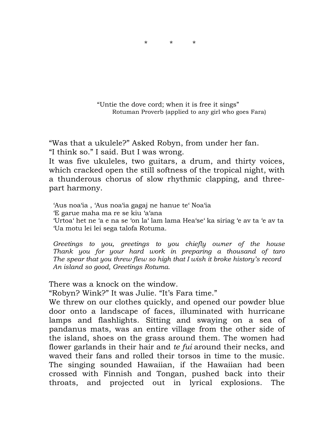

 "Untie the dove cord; when it is free it sings" Rotuman Proverb (applied to any girl who goes Fara)

"Was that a ukulele?" Asked Robyn, from under her fan. "I think so." I said. But I was wrong.

It was five ukuleles, two guitars, a drum, and thirty voices, which cracked open the still softness of the tropical night, with a thunderous chorus of slow rhythmic clapping, and threepart harmony.

 'Aus noa'ia , 'Aus noa'ia gagaj ne hanue te' Noa'ia 'E garue maha ma re se kiu 'a'ana

 'Urtoa' het ne 'a e na se 'on la' lam lama Hea'se' ka siriag 'e av ta 'e av ta 'Ua motu lei lei sega talofa Rotuma.

 *Greetings to you, greetings to you chiefly owner of the house Thank you for your hard work in preparing a thousand of taro The spear that you threw flew so high that I wish it broke history's record An island so good, Greetings Rotuma.*

There was a knock on the window.

"Robyn? Wink?" It was Julie. "It's Fara time."

We threw on our clothes quickly, and opened our powder blue door onto a landscape of faces, illuminated with hurricane lamps and flashlights. Sitting and swaying on a sea of pandanus mats, was an entire village from the other side of the island, shoes on the grass around them. The women had flower garlands in their hair and *te fui* around their necks, and waved their fans and rolled their torsos in time to the music. The singing sounded Hawaiian, if the Hawaiian had been crossed with Finnish and Tongan, pushed back into their throats, and projected out in lyrical explosions. The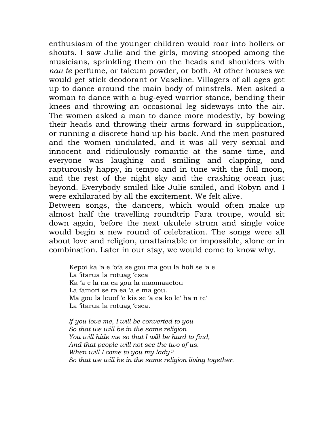enthusiasm of the younger children would roar into hollers or shouts. I saw Julie and the girls, moving stooped among the musicians, sprinkling them on the heads and shoulders with *nau te* perfume, or talcum powder, or both. At other houses we would get stick deodorant or Vaseline. Villagers of all ages got up to dance around the main body of minstrels. Men asked a woman to dance with a bug-eyed warrior stance, bending their knees and throwing an occasional leg sideways into the air. The women asked a man to dance more modestly, by bowing their heads and throwing their arms forward in supplication, or running a discrete hand up his back. And the men postured and the women undulated, and it was all very sexual and innocent and ridiculously romantic at the same time, and everyone was laughing and smiling and clapping, and rapturously happy, in tempo and in tune with the full moon, and the rest of the night sky and the crashing ocean just beyond. Everybody smiled like Julie smiled, and Robyn and I were exhilarated by all the excitement. We felt alive.

Between songs, the dancers, which would often make up almost half the travelling roundtrip Fara troupe, would sit down again, before the next ukulele strum and single voice would begin a new round of celebration. The songs were all about love and religion, unattainable or impossible, alone or in combination. Later in our stay, we would come to know why.

 Kepoi ka 'a e 'ofa se gou ma gou la holi se 'a e La 'itarua la rotuag 'esea Ka 'a e la na ea gou la maomaaetou La famori se ra ea 'a e ma gou. Ma gou la leuof 'e kis se 'a ea ko le' ha n te' La 'itarua la rotuag 'esea.

 *If you love me, I will be converted to you So that we will be in the same religion You will hide me so that I will be hard to find, And that people will not see the two of us. When will I come to you my lady? So that we will be in the same religion living together.*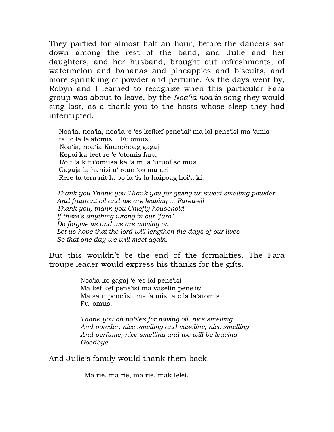They partied for almost half an hour, before the dancers sat down among the rest of the band, and Julie and her daughters, and her husband, brought out refreshments, of watermelon and bananas and pineapples and biscuits, and more sprinkling of powder and perfume. As the days went by, Robyn and I learned to recognize when this particular Fara group was about to leave, by the *Noa'ia noa'ia* song they would sing last, as a thank you to the hosts whose sleep they had interrupted.

 Noa'ia, noa'ia, noa'ia 'e 'es kefkef pene'isi' ma lol pene'isi ma 'amis ta□e la la'atomis... Fu'omus. Noa'ia, noa'ia Kaunohoag gagaj Kepoi ka teet re 'e 'otomis fara, Ro t 'a k fu'omusa ka 'a m la 'utuof se mua. Gagaja la hanisi a' roan 'os ma uri Rere ta tera nit la po la 'is la haipoag hoi'a ki.

 *Thank you Thank you Thank you for giving us sweet smelling powder And fragrant oil and we are leaving ... Farewell Thank you, thank you Chiefly household If there's anything wrong in our 'fara' Do forgive us and we are moving on Let us hope that the lord will lengthen the days of our lives So that one day we will meet again.*

But this wouldn't be the end of the formalities. The Fara troupe leader would express his thanks for the gifts.

> Noa'ia ko gagaj 'e 'es lol pene'isi Ma kef kef pene'isi ma vaselin pene'isi Ma sa n pene'isi, ma 'a mis ta e la la'atomis Fu' omus.

 *Thank you oh nobles for having oil, nice smelling And powder, nice smelling and vaseline, nice smelling And perfume, nice smelling and we will be leaving Goodbye.*

And Julie's family would thank them back.

Ma rie, ma rie, ma rie, mak lelei.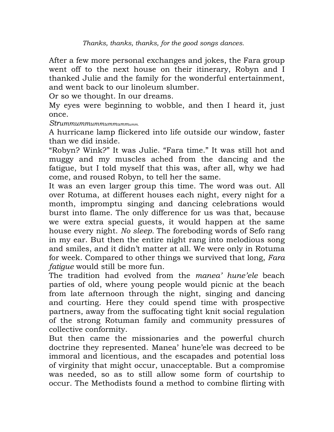After a few more personal exchanges and jokes, the Fara group went off to the next house on their itinerary, Robyn and I thanked Julie and the family for the wonderful entertainment, and went back to our linoleum slumber.

Or so we thought. In our dreams.

My eyes were beginning to wobble, and then I heard it, just once.

*Strummummummummummumm.*

A hurricane lamp flickered into life outside our window, faster than we did inside.

"Robyn? Wink?" It was Julie. "Fara time." It was still hot and muggy and my muscles ached from the dancing and the fatigue, but I told myself that this was, after all, why we had come, and roused Robyn, to tell her the same.

It was an even larger group this time. The word was out. All over Rotuma, at different houses each night, every night for a month, impromptu singing and dancing celebrations would burst into flame. The only difference for us was that, because we were extra special guests, it would happen at the same house every night. *No sleep.* The foreboding words of Sefo rang in my ear. But then the entire night rang into melodious song and smiles, and it didn't matter at all. We were only in Rotuma for week. Compared to other things we survived that long, *Fara fatigue* would still be more fun.

The tradition had evolved from the *manea' hune'ele* beach parties of old, where young people would picnic at the beach from late afternoon through the night, singing and dancing and courting. Here they could spend time with prospective partners, away from the suffocating tight knit social regulation of the strong Rotuman family and community pressures of collective conformity.

But then came the missionaries and the powerful church doctrine they represented. Manea' hune'ele was decreed to be immoral and licentious, and the escapades and potential loss of virginity that might occur, unacceptable. But a compromise was needed, so as to still allow some form of courtship to occur. The Methodists found a method to combine flirting with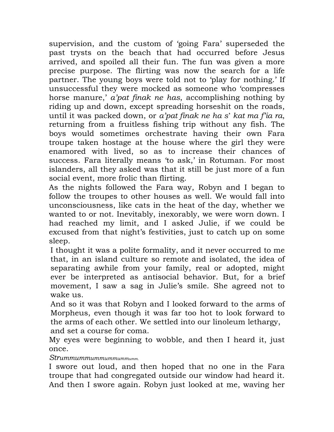supervision, and the custom of 'going Fara' superseded the past trysts on the beach that had occurred before Jesus arrived, and spoiled all their fun. The fun was given a more precise purpose. The flirting was now the search for a life partner. The young boys were told not to 'play for nothing.' If unsuccessful they were mocked as someone who 'compresses horse manure,' *a'pat finak ne has*, accomplishing nothing by riding up and down, except spreading horseshit on the roads, until it was packed down, or *a'pat finak ne ha s*' *kat ma f'ia ra*, returning from a fruitless fishing trip without any fish. The boys would sometimes orchestrate having their own Fara troupe taken hostage at the house where the girl they were enamored with lived, so as to increase their chances of success. Fara literally means 'to ask,' in Rotuman. For most islanders, all they asked was that it still be just more of a fun social event, more frolic than flirting.

As the nights followed the Fara way, Robyn and I began to follow the troupes to other houses as well. We would fall into unconsciousness, like cats in the heat of the day, whether we wanted to or not. Inevitably, inexorably, we were worn down. I had reached my limit, and I asked Julie, if we could be excused from that night's festivities, just to catch up on some sleep.

I thought it was a polite formality, and it never occurred to me that, in an island culture so remote and isolated, the idea of separating awhile from your family, real or adopted, might ever be interpreted as antisocial behavior. But, for a brief movement, I saw a sag in Julie's smile. She agreed not to wake us.

And so it was that Robyn and I looked forward to the arms of Morpheus, even though it was far too hot to look forward to the arms of each other. We settled into our linoleum lethargy, and set a course for coma.

My eyes were beginning to wobble, and then I heard it, just once.

*Strummummummummummumm.*

I swore out loud, and then hoped that no one in the Fara troupe that had congregated outside our window had heard it. And then I swore again. Robyn just looked at me, waving her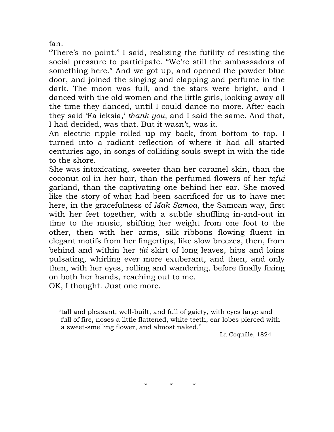fan.

"There's no point." I said, realizing the futility of resisting the social pressure to participate. "We're still the ambassadors of something here." And we got up, and opened the powder blue door, and joined the singing and clapping and perfume in the dark. The moon was full, and the stars were bright, and I danced with the old women and the little girls, looking away all the time they danced, until I could dance no more. After each they said 'Fa ieksia,' *thank you*, and I said the same. And that, I had decided, was that. But it wasn't, was it.

An electric ripple rolled up my back, from bottom to top. I turned into a radiant reflection of where it had all started centuries ago, in songs of colliding souls swept in with the tide to the shore.

She was intoxicating, sweeter than her caramel skin, than the coconut oil in her hair, than the perfumed flowers of her *tefui* garland, than the captivating one behind her ear. She moved like the story of what had been sacrificed for us to have met here, in the gracefulness of *Mak Samoa*, the Samoan way, first with her feet together, with a subtle shuffling in-and-out in time to the music, shifting her weight from one foot to the other, then with her arms, silk ribbons flowing fluent in elegant motifs from her fingertips, like slow breezes, then, from behind and within her *titi* skirt of long leaves, hips and loins pulsating, whirling ever more exuberant, and then, and only then, with her eyes, rolling and wandering, before finally fixing on both her hands, reaching out to me.

OK, I thought. Just one more.

"tall and pleasant, well-built, and full of gaiety, with eyes large and full of fire, noses a little flattened, white teeth, ear lobes pierced with a sweet-smelling flower, and almost naked."

La Coquille, 1824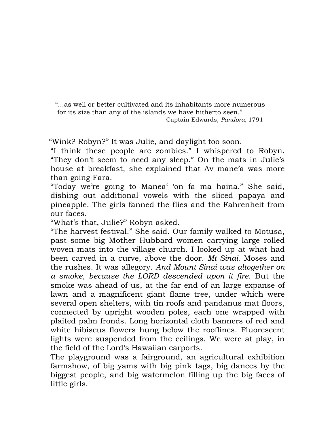"...as well or better cultivated and its inhabitants more numerous for its size than any of the islands we have hitherto seen." Captain Edwards, *Pandora,* 1791

"Wink? Robyn?" It was Julie, and daylight too soon.

"I think these people are zombies." I whispered to Robyn. "They don't seem to need any sleep." On the mats in Julie's house at breakfast, she explained that Av mane'a was more than going Fara.

"Today we're going to Manea' 'on fa ma haina." She said, dishing out additional vowels with the sliced papaya and pineapple. The girls fanned the flies and the Fahrenheit from our faces.

"What's that, Julie?" Robyn asked.

"The harvest festival." She said. Our family walked to Motusa, past some big Mother Hubbard women carrying large rolled woven mats into the village church. I looked up at what had been carved in a curve, above the door. *Mt Sinai.* Moses and the rushes. It was allegory. *And Mount Sinai was altogether on a smoke, because the LORD descended upon it fire*. But the smoke was ahead of us, at the far end of an large expanse of lawn and a magnificent giant flame tree, under which were several open shelters, with tin roofs and pandanus mat floors, connected by upright wooden poles, each one wrapped with plaited palm fronds. Long horizontal cloth banners of red and white hibiscus flowers hung below the rooflines. Fluorescent lights were suspended from the ceilings. We were at play, in the field of the Lord's Hawaiian carports.

The playground was a fairground, an agricultural exhibition farmshow, of big yams with big pink tags, big dances by the biggest people, and big watermelon filling up the big faces of little girls.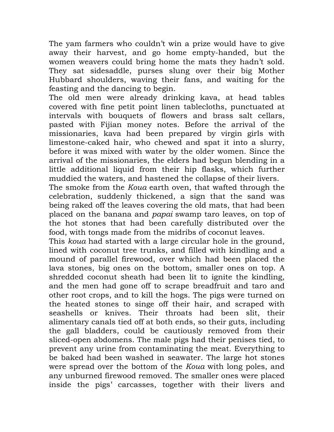The yam farmers who couldn't win a prize would have to give away their harvest, and go home empty-handed, but the women weavers could bring home the mats they hadn't sold. They sat sidesaddle, purses slung over their big Mother Hubbard shoulders, waving their fans, and waiting for the feasting and the dancing to begin.

The old men were already drinking kava, at head tables covered with fine petit point linen tablecloths, punctuated at intervals with bouquets of flowers and brass salt cellars, pasted with Fijian money notes. Before the arrival of the missionaries, kava had been prepared by virgin girls with limestone-caked hair, who chewed and spat it into a slurry, before it was mixed with water by the older women. Since the arrival of the missionaries, the elders had begun blending in a little additional liquid from their hip flasks, which further muddied the waters, and hastened the collapse of their livers.

The smoke from the *Koua* earth oven, that wafted through the celebration, suddenly thickened, a sign that the sand was being raked off the leaves covering the old mats, that had been placed on the banana and *papai* swamp taro leaves, on top of the hot stones that had been carefully distributed over the food, with tongs made from the midribs of coconut leaves.

This *koua* had started with a large circular hole in the ground, lined with coconut tree trunks, and filled with kindling and a mound of parallel firewood, over which had been placed the lava stones, big ones on the bottom, smaller ones on top. A shredded coconut sheath had been lit to ignite the kindling, and the men had gone off to scrape breadfruit and taro and other root crops, and to kill the hogs. The pigs were turned on the heated stones to singe off their hair, and scraped with seashells or knives. Their throats had been slit, their alimentary canals tied off at both ends, so their guts, including the gall bladders, could be cautiously removed from their sliced-open abdomens. The male pigs had their penises tied, to prevent any urine from contaminating the meat. Everything to be baked had been washed in seawater. The large hot stones were spread over the bottom of the *Koua* with long poles, and any unburned firewood removed. The smaller ones were placed inside the pigs' carcasses, together with their livers and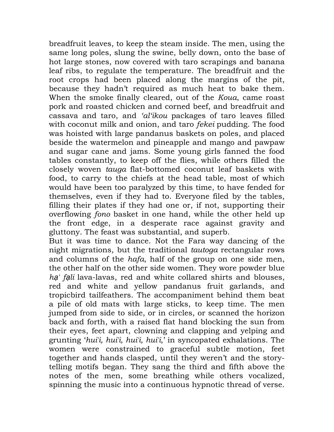breadfruit leaves, to keep the steam inside. The men, using the same long poles, slung the swine, belly down, onto the base of hot large stones, now covered with taro scrapings and banana leaf ribs, to regulate the temperature. The breadfruit and the root crops had been placed along the margins of the pit, because they hadn't required as much heat to bake them. When the smoke finally cleared, out of the *Koua*, came roast pork and roasted chicken and corned beef, and breadfruit and cassava and taro, and *'al'ikou* packages of taro leaves filled with coconut milk and onion, and taro *fekei* pudding. The food was hoisted with large pandanus baskets on poles, and placed beside the watermelon and pineapple and mango and pawpaw and sugar cane and jams. Some young girls fanned the food tables constantly, to keep off the flies, while others filled the closely woven *tauga* flat-bottomed coconut leaf baskets with food, to carry to the chiefs at the head table, most of which would have been too paralyzed by this time, to have fended for themselves, even if they had to. Everyone filed by the tables, filling their plates if they had one or, if not, supporting their overflowing *fono* basket in one hand, while the other held up the front edge, in a desperate race against gravity and gluttony. The feast was substantial, and superb.

But it was time to dance. Not the Fara way dancing of the night migrations, but the traditional *tautoga* rectangular rows and columns of the *hafa*, half of the group on one side men, the other half on the other side women. They wore powder blue *h*ạ*' f*ạ*li* lava-lavas, red and white collared shirts and blouses, red and white and yellow pandanus fruit garlands, and tropicbird tailfeathers. The accompaniment behind them beat a pile of old mats with large sticks, to keep time. The men jumped from side to side, or in circles, or scanned the horizon back and forth, with a raised flat hand blocking the sun from their eyes, feet apart, clowning and clapping and yelping and grunting '*hui'i, hui'i, hui'i, hui'i*,' in syncopated exhalations. The women were constrained to graceful subtle motion, feet together and hands clasped, until they weren't and the storytelling motifs began. They sang the third and fifth above the notes of the men, some breathing while others vocalized, spinning the music into a continuous hypnotic thread of verse.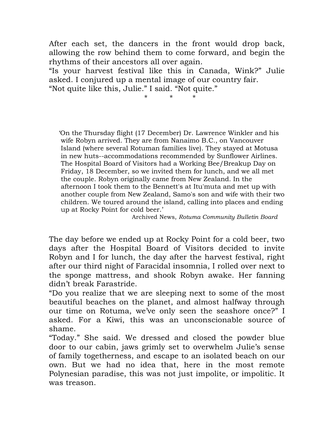After each set, the dancers in the front would drop back, allowing the row behind them to come forward, and begin the rhythms of their ancestors all over again.

"Is your harvest festival like this in Canada, Wink?" Julie asked. I conjured up a mental image of our country fair.

"Not quite like this, Julie." I said. "Not quite."

\* \* \*

'On the Thursday flight (17 December) Dr. Lawrence Winkler and his wife Robyn arrived. They are from Nanaimo B.C., on Vancouver Island (where several Rotuman families live). They stayed at Motusa in new huts--accommodations recommended by Sunflower Airlines. The Hospital Board of Visitors had a Working Bee/Breakup Day on Friday, 18 December, so we invited them for lunch, and we all met the couple. Robyn originally came from New Zealand. In the afternoon I took them to the Bennett's at Itu'muta and met up with another couple from New Zealand, Samo's son and wife with their two children. We toured around the island, calling into places and ending up at Rocky Point for cold beer.'

Archived News, *Rotuma Community Bulletin Board*

The day before we ended up at Rocky Point for a cold beer, two days after the Hospital Board of Visitors decided to invite Robyn and I for lunch, the day after the harvest festival, right after our third night of Faracidal insomnia, I rolled over next to the sponge mattress, and shook Robyn awake. Her fanning didn't break Farastride.

"Do you realize that we are sleeping next to some of the most beautiful beaches on the planet, and almost halfway through our time on Rotuma, we've only seen the seashore once?" I asked. For a Kiwi, this was an unconscionable source of shame.

"Today." She said. We dressed and closed the powder blue door to our cabin, jaws grimly set to overwhelm Julie's sense of family togetherness, and escape to an isolated beach on our own. But we had no idea that, here in the most remote Polynesian paradise, this was not just impolite, or impolitic. It was treason.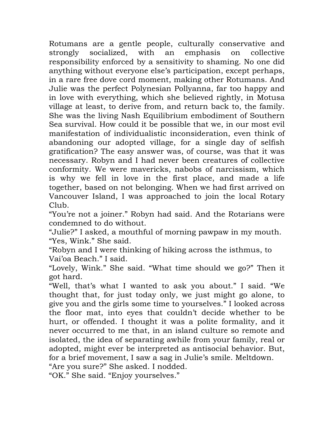Rotumans are a gentle people, culturally conservative and strongly socialized, with an emphasis on collective responsibility enforced by a sensitivity to shaming. No one did anything without everyone else's participation, except perhaps, in a rare free dove cord moment, making other Rotumans. And Julie was the perfect Polynesian Pollyanna, far too happy and in love with everything, which she believed rightly, in Motusa village at least, to derive from, and return back to, the family. She was the living Nash Equilibrium embodiment of Southern Sea survival. How could it be possible that we, in our most evil manifestation of individualistic inconsideration, even think of abandoning our adopted village, for a single day of selfish gratification? The easy answer was, of course, was that it was necessary. Robyn and I had never been creatures of collective conformity. We were mavericks, nabobs of narcissism, which is why we fell in love in the first place, and made a life together, based on not belonging. When we had first arrived on Vancouver Island, I was approached to join the local Rotary Club.

"You're not a joiner." Robyn had said. And the Rotarians were condemned to do without.

"Julie?" I asked, a mouthful of morning pawpaw in my mouth. "Yes, Wink." She said.

"Robyn and I were thinking of hiking across the isthmus, to Vai'oa Beach." I said.

"Lovely, Wink." She said. "What time should we go?" Then it got hard.

"Well, that's what I wanted to ask you about." I said. "We thought that, for just today only, we just might go alone, to give you and the girls some time to yourselves." I looked across the floor mat, into eyes that couldn't decide whether to be hurt, or offended. I thought it was a polite formality, and it never occurred to me that, in an island culture so remote and isolated, the idea of separating awhile from your family, real or adopted, might ever be interpreted as antisocial behavior. But, for a brief movement, I saw a sag in Julie's smile. Meltdown.

"Are you sure?" She asked. I nodded.

"OK." She said. "Enjoy yourselves."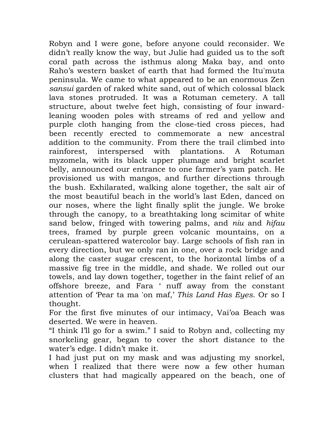Robyn and I were gone, before anyone could reconsider. We didn't really know the way, but Julie had guided us to the soft coral path across the isthmus along Maka bay, and onto Raho's western basket of earth that had formed the Itu'muta peninsula. We came to what appeared to be an enormous Zen *sansui* garden of raked white sand, out of which colossal black lava stones protruded. It was a Rotuman cemetery. A tall structure, about twelve feet high, consisting of four inwardleaning wooden poles with streams of red and yellow and purple cloth hanging from the close-tied cross pieces, had been recently erected to commemorate a new ancestral addition to the community. From there the trail climbed into rainforest, interspersed with plantations. A Rotuman myzomela, with its black upper plumage and bright scarlet belly, announced our entrance to one farmer's yam patch. He provisioned us with mangos, and further directions through the bush. Exhilarated, walking alone together, the salt air of the most beautiful beach in the world's last Eden, danced on our noses, where the light finally split the jungle. We broke through the canopy, to a breathtaking long scimitar of white sand below, fringed with towering palms, and *niu* and *hifau* trees, framed by purple green volcanic mountains, on a cerulean-spattered watercolor bay. Large schools of fish ran in every direction, but we only ran in one, over a rock bridge and along the caster sugar crescent, to the horizontal limbs of a massive fig tree in the middle, and shade. We rolled out our towels, and lay down together, together in the faint relief of an offshore breeze, and Fara ' nuff away from the constant attention of 'Pear ta ma 'on maf,' *This Land Has Eyes*. Or so I thought.

For the first five minutes of our intimacy, Vai'oa Beach was deserted. We were in heaven.

"I think I'll go for a swim." I said to Robyn and, collecting my snorkeling gear, began to cover the short distance to the water's edge. I didn't make it.

I had just put on my mask and was adjusting my snorkel, when I realized that there were now a few other human clusters that had magically appeared on the beach, one of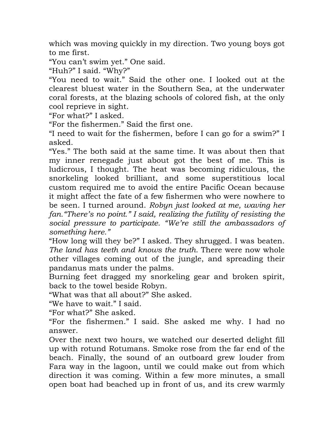which was moving quickly in my direction. Two young boys got to me first.

"You can't swim yet." One said.

"Huh?" I said. "Why?"

"You need to wait." Said the other one. I looked out at the clearest bluest water in the Southern Sea, at the underwater coral forests, at the blazing schools of colored fish, at the only cool reprieve in sight.

"For what?" I asked.

"For the fishermen." Said the first one.

"I need to wait for the fishermen, before I can go for a swim?" I asked.

"Yes." The both said at the same time. It was about then that my inner renegade just about got the best of me. This is ludicrous, I thought. The heat was becoming ridiculous, the snorkeling looked brilliant, and some superstitious local custom required me to avoid the entire Pacific Ocean because it might affect the fate of a few fishermen who were nowhere to be seen. I turned around. *Robyn just looked at me, waving her fan."There's no point." I said, realizing the futility of resisting the social pressure to participate. "We're still the ambassadors of something here."*

"How long will they be?" I asked. They shrugged. I was beaten. *The land has teeth and knows the truth.* There were now whole other villages coming out of the jungle, and spreading their pandanus mats under the palms.

Burning feet dragged my snorkeling gear and broken spirit, back to the towel beside Robyn.

"What was that all about?" She asked.

"We have to wait." I said.

"For what?" She asked.

"For the fishermen." I said. She asked me why. I had no answer.

Over the next two hours, we watched our deserted delight fill up with rotund Rotumans. Smoke rose from the far end of the beach. Finally, the sound of an outboard grew louder from Fara way in the lagoon, until we could make out from which direction it was coming. Within a few more minutes, a small open boat had beached up in front of us, and its crew warmly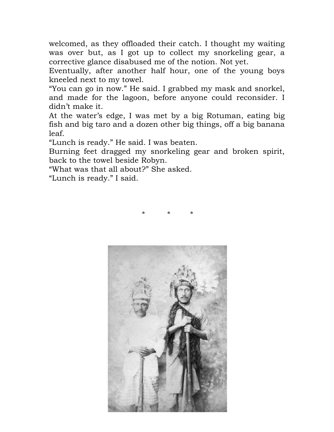welcomed, as they offloaded their catch. I thought my waiting was over but, as I got up to collect my snorkeling gear, a corrective glance disabused me of the notion. Not yet.

Eventually, after another half hour, one of the young boys kneeled next to my towel.

"You can go in now." He said. I grabbed my mask and snorkel, and made for the lagoon, before anyone could reconsider. I didn't make it.

At the water's edge, I was met by a big Rotuman, eating big fish and big taro and a dozen other big things, off a big banana leaf.

"Lunch is ready." He said. I was beaten.

Burning feet dragged my snorkeling gear and broken spirit, back to the towel beside Robyn.

"What was that all about?" She asked.

"Lunch is ready." I said.



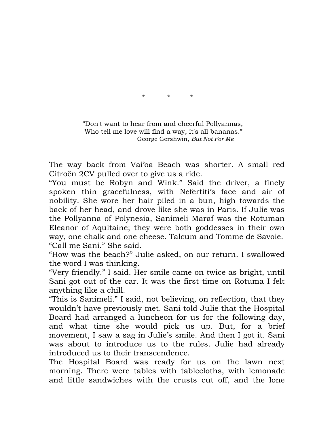\* \* \*

 "Don't want to hear from and cheerful Pollyannas, Who tell me love will find a way, it's all bananas." George Gershwin, *But Not For Me*

The way back from Vai'oa Beach was shorter. A small red Citroën 2CV pulled over to give us a ride.

"You must be Robyn and Wink." Said the driver, a finely spoken thin gracefulness, with Nefertiti's face and air of nobility. She wore her hair piled in a bun, high towards the back of her head, and drove like she was in Paris. If Julie was the Pollyanna of Polynesia, Sanimeli Maraf was the Rotuman Eleanor of Aquitaine; they were both goddesses in their own way, one chalk and one cheese. Talcum and Tomme de Savoie. "Call me Sani." She said.

"How was the beach?" Julie asked, on our return. I swallowed the word I was thinking.

"Very friendly." I said. Her smile came on twice as bright, until Sani got out of the car. It was the first time on Rotuma I felt anything like a chill.

"This is Sanimeli." I said, not believing, on reflection, that they wouldn't have previously met. Sani told Julie that the Hospital Board had arranged a luncheon for us for the following day, and what time she would pick us up. But, for a brief movement, I saw a sag in Julie's smile. And then I got it. Sani was about to introduce us to the rules. Julie had already introduced us to their transcendence.

The Hospital Board was ready for us on the lawn next morning. There were tables with tablecloths, with lemonade and little sandwiches with the crusts cut off, and the lone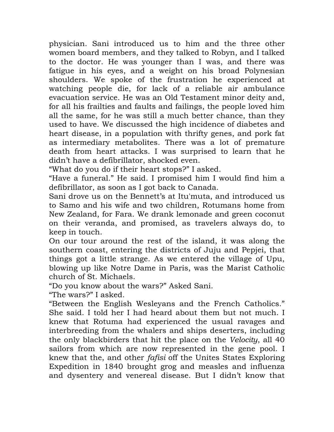physician. Sani introduced us to him and the three other women board members, and they talked to Robyn, and I talked to the doctor. He was younger than I was, and there was fatigue in his eyes, and a weight on his broad Polynesian shoulders. We spoke of the frustration he experienced at watching people die, for lack of a reliable air ambulance evacuation service. He was an Old Testament minor deity and, for all his frailties and faults and failings, the people loved him all the same, for he was still a much better chance, than they used to have. We discussed the high incidence of diabetes and heart disease, in a population with thrifty genes, and pork fat as intermediary metabolites. There was a lot of premature death from heart attacks. I was surprised to learn that he didn't have a defibrillator, shocked even.

"What do you do if their heart stops?" I asked.

"Have a funeral." He said. I promised him I would find him a defibrillator, as soon as I got back to Canada.

Sani drove us on the Bennett's at Itu'muta, and introduced us to Samo and his wife and two children, Rotumans home from New Zealand, for Fara. We drank lemonade and green coconut on their veranda, and promised, as travelers always do, to keep in touch.

On our tour around the rest of the island, it was along the southern coast, entering the districts of Juju and Pepjei, that things got a little strange. As we entered the village of Upu, blowing up like Notre Dame in Paris, was the Marist Catholic church of St. Michaels.

"Do you know about the wars?" Asked Sani.

"The wars?" I asked.

"Between the English Wesleyans and the French Catholics." She said. I told her I had heard about them but not much. I knew that Rotuma had experienced the usual ravages and interbreeding from the whalers and ships deserters, including the only blackbirders that hit the place on the *Velocity*, all 40 sailors from which are now represented in the gene pool. I knew that the, and other *fafisi* off the Unites States Exploring Expedition in 1840 brought grog and measles and influenza and dysentery and venereal disease. But I didn't know that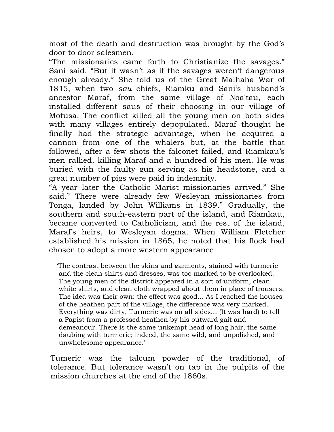most of the death and destruction was brought by the God's door to door salesmen.

"The missionaries came forth to Christianize the savages." Sani said. "But it wasn't as if the savages weren't dangerous enough already." She told us of the Great Malhaha War of 1845, when two *sau* chiefs, Riamku and Sani's husband's ancestor Maraf, from the same village of Noa'tau, each installed different saus of their choosing in our village of Motusa. The conflict killed all the young men on both sides with many villages entirely depopulated. Maraf thought he finally had the strategic advantage, when he acquired a cannon from one of the whalers but, at the battle that followed, after a few shots the falconet failed, and Riamkau's men rallied, killing Maraf and a hundred of his men. He was buried with the faulty gun serving as his headstone, and a great number of pigs were paid in indemnity.

"A year later the Catholic Marist missionaries arrived." She said." There were already few Wesleyan missionaries from Tonga, landed by John Williams in 1839." Gradually, the southern and south-eastern part of the island, and Riamkau, became converted to Catholicism, and the rest of the island, Maraf's heirs, to Wesleyan dogma. When William Fletcher established his mission in 1865, he noted that his flock had chosen to adopt a more western appearance

 'The contrast between the skins and garments, stained with turmeric and the clean shirts and dresses, was too marked to be overlooked. The young men of the district appeared in a sort of uniform, clean white shirts, and clean cloth wrapped about them in place of trousers. The idea was their own: the effect was good... As I reached the houses of the heathen part of the village, the difference was very marked. Everything was dirty, Turmeric was on all sides... (It was hard) to tell a Papist from a professed heathen by his outward gait and demeanour. There is the same unkempt head of long hair, the same daubing with turmeric; indeed, the same wild, and unpolished, and unwholesome appearance.'

Tumeric was the talcum powder of the traditional, of tolerance. But tolerance wasn't on tap in the pulpits of the mission churches at the end of the 1860s.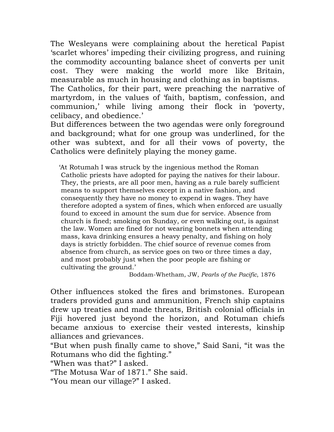The Wesleyans were complaining about the heretical Papist 'scarlet whores' impeding their civilizing progress, and ruining the commodity accounting balance sheet of converts per unit cost. They were making the world more like Britain, measurable as much in housing and clothing as in baptisms. The Catholics, for their part, were preaching the narrative of martyrdom, in the values of 'faith, baptism, confession, and communion,' while living among their flock in 'poverty, celibacy, and obedience.'

But differences between the two agendas were only foreground and background; what for one group was underlined, for the other was subtext, and for all their vows of poverty, the Catholics were definitely playing the money game.

 'At Rotumah I was struck by the ingenious method the Roman Catholic priests have adopted for paying the natives for their labour. They, the priests, are all poor men, having as a rule barely sufficient means to support themselves except in a native fashion, and consequently they have no money to expend in wages. They have therefore adopted a system of fines, which when enforced are usually found to exceed in amount the sum due for service. Absence from church is fined; smoking on Sunday, or even walking out, is against the law. Women are fined for not wearing bonnets when attending mass, kava drinking ensures a heavy penalty, and fishing on holy days is strictly forbidden. The chief source of revenue comes from absence from church, as service goes on two or three times a day, and most probably just when the poor people are fishing or cultivating the ground.'

Boddam-Whetham, JW, *Pearls of the Pacific*, 1876

Other influences stoked the fires and brimstones. European traders provided guns and ammunition, French ship captains drew up treaties and made threats, British colonial officials in Fiji hovered just beyond the horizon, and Rotuman chiefs became anxious to exercise their vested interests, kinship alliances and grievances.

"But when push finally came to shove," Said Sani, "it was the Rotumans who did the fighting."

"When was that?" I asked.

"The Motusa War of 1871." She said.

"You mean our village?" I asked.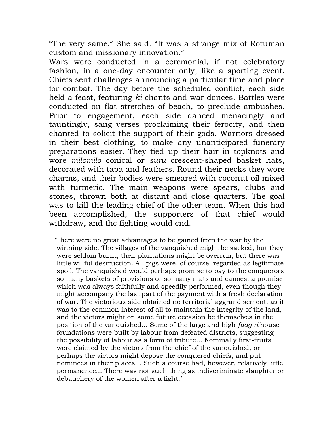"The very same." She said. "It was a strange mix of Rotuman custom and missionary innovation."

Wars were conducted in a ceremonial, if not celebratory fashion, in a one-day encounter only, like a sporting event. Chiefs sent challenges announcing a particular time and place for combat. The day before the scheduled conflict, each side held a feast, featuring *ki* chants and war dances. Battles were conducted on flat stretches of beach, to preclude ambushes. Prior to engagement, each side danced menacingly and tauntingly, sang verses proclaiming their ferocity, and then chanted to solicit the support of their gods. Warriors dressed in their best clothing, to make any unanticipated funerary preparations easier. They tied up their hair in topknots and wore *milomilo* conical or *suru* crescent-shaped basket hats, decorated with tapa and feathers. Round their necks they wore charms, and their bodies were smeared with coconut oil mixed with turmeric. The main weapons were spears, clubs and stones, thrown both at distant and close quarters. The goal was to kill the leading chief of the other team. When this had been accomplished, the supporters of that chief would withdraw, and the fighting would end.

 'There were no great advantages to be gained from the war by the winning side. The villages of the vanquished might be sacked, but they were seldom burnt; their plantations might be overrun, but there was little willful destruction. All pigs were, of course, regarded as legitimate spoil. The vanquished would perhaps promise to pay to the conquerors so many baskets of provisions or so many mats and canoes, a promise which was always faithfully and speedily performed, even though they might accompany the last part of the payment with a fresh declaration of war. The victorious side obtained no territorial aggrandisement, as it was to the common interest of all to maintain the integrity of the land, and the victors might on some future occasion be themselves in the position of the vanquished... Some of the large and high *fuag ri* house foundations were built by labour from defeated districts, suggesting the possibility of labour as a form of tribute... Nominally first-fruits were claimed by the victors from the chief of the vanquished, or perhaps the victors might depose the conquered chiefs, and put nominees in their places... Such a course had, however, relatively little permanence... There was not such thing as indiscriminate slaughter or debauchery of the women after a fight.'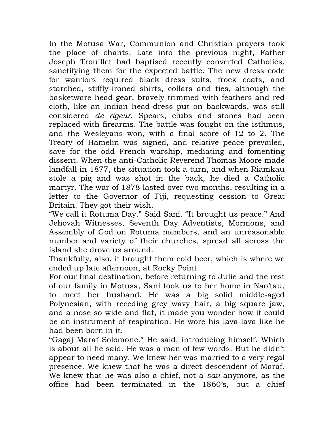In the Motusa War, Communion and Christian prayers took the place of chants. Late into the previous night, Father Joseph Trouillet had baptised recently converted Catholics, sanctifying them for the expected battle. The new dress code for warriors required black dress suits, frock coats, and starched, stiffly-ironed shirts, collars and ties, although the basketware head-gear, bravely trimmed with feathers and red cloth, like an Indian head-dress put on backwards, was still considered *de rigeur*. Spears, clubs and stones had been replaced with firearms. The battle was fought on the isthmus, and the Wesleyans won, with a final score of 12 to 2. The Treaty of Hamelin was signed, and relative peace prevailed, save for the odd French warship, mediating and fomenting dissent. When the anti-Catholic Reverend Thomas Moore made landfall in 1877, the situation took a turn, and when Riamkau stole a pig and was shot in the back, he died a Catholic martyr. The war of 1878 lasted over two months, resulting in a letter to the Governor of Fiji, requesting cession to Great Britain. They got their wish.

"We call it Rotuma Day." Said Sani. "It brought us peace." And Jehovah Witnesses, Seventh Day Adventists, Mormons, and Assembly of God on Rotuma members, and an unreasonable number and variety of their churches, spread all across the island she drove us around.

Thankfully, also, it brought them cold beer, which is where we ended up late afternoon, at Rocky Point.

For our final destination, before returning to Julie and the rest of our family in Motusa, Sani took us to her home in Nao'tau, to meet her husband. He was a big solid middle-aged Polynesian, with receding grey wavy hair, a big square jaw, and a nose so wide and flat, it made you wonder how it could be an instrument of respiration. He wore his lava-lava like he had been born in it.

"Gagaj Maraf Solomone." He said, introducing himself. Which is about all he said. He was a man of few words. But he didn't appear to need many. We knew her was married to a very regal presence. We knew that he was a direct descendent of Maraf. We knew that he was also a chief, not a *sau* anymore, as the office had been terminated in the 1860's, but a chief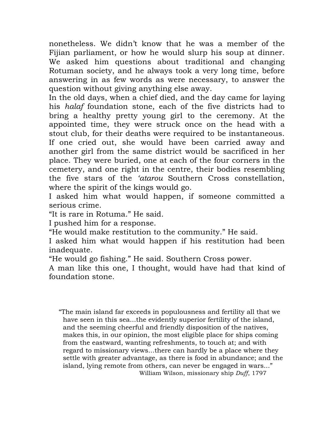nonetheless. We didn't know that he was a member of the Fijian parliament, or how he would slurp his soup at dinner. We asked him questions about traditional and changing Rotuman society, and he always took a very long time, before answering in as few words as were necessary, to answer the question without giving anything else away.

In the old days, when a chief died, and the day came for laying his *halaf* foundation stone, each of the five districts had to bring a healthy pretty young girl to the ceremony. At the appointed time, they were struck once on the head with a stout club, for their deaths were required to be instantaneous. If one cried out, she would have been carried away and another girl from the same district would be sacrificed in her place. They were buried, one at each of the four corners in the cemetery, and one right in the centre, their bodies resembling the five stars of the *'atarou* Southern Cross constellation, where the spirit of the kings would go.

I asked him what would happen, if someone committed a serious crime.

"It is rare in Rotuma." He said.

I pushed him for a response.

"He would make restitution to the community." He said.

I asked him what would happen if his restitution had been inadequate.

"He would go fishing." He said. Southern Cross power.

A man like this one, I thought, would have had that kind of foundation stone.

"The main island far exceeds in populousness and fertility all that we have seen in this sea...the evidently superior fertility of the island, and the seeming cheerful and friendly disposition of the natives, makes this, in our opinion, the most eligible place for ships coming from the eastward, wanting refreshments, to touch at; and with regard to missionary views...there can hardly be a place where they settle with greater advantage, as there is food in abundance; and the island, lying remote from others, can never be engaged in wars..." William Wilson, missionary ship *Duff*, 1797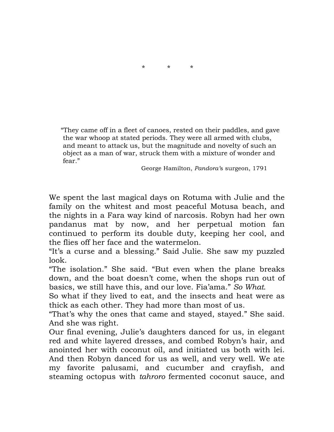

"They came off in a fleet of canoes, rested on their paddles, and gave the war whoop at stated periods. They were all armed with clubs, and meant to attack us, but the magnitude and novelty of such an object as a man of war, struck them with a mixture of wonder and fear."

George Hamilton, *Pandora'*s surgeon, 1791

We spent the last magical days on Rotuma with Julie and the family on the whitest and most peaceful Motusa beach, and the nights in a Fara way kind of narcosis. Robyn had her own pandanus mat by now, and her perpetual motion fan continued to perform its double duty, keeping her cool, and the flies off her face and the watermelon.

"It's a curse and a blessing." Said Julie. She saw my puzzled look.

"The isolation." She said. "But even when the plane breaks down, and the boat doesn't come, when the shops run out of basics, we still have this, and our love. Fia'ama." *So What.*

So what if they lived to eat, and the insects and heat were as thick as each other. They had more than most of us.

"That's why the ones that came and stayed, stayed." She said. And she was right.

Our final evening, Julie's daughters danced for us, in elegant red and white layered dresses, and combed Robyn's hair, and anointed her with coconut oil, and initiated us both with lei. And then Robyn danced for us as well, and very well. We ate my favorite palusami, and cucumber and crayfish, and steaming octopus with *tahroro* fermented coconut sauce, and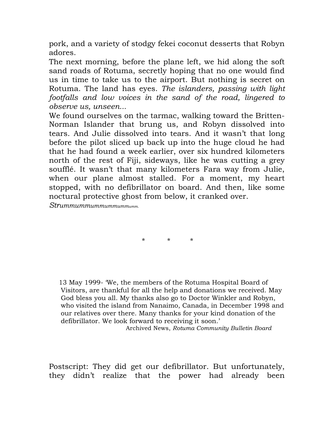pork, and a variety of stodgy fekei coconut desserts that Robyn adores.

The next morning, before the plane left, we hid along the soft sand roads of Rotuma, secretly hoping that no one would find us in time to take us to the airport. But nothing is secret on Rotuma. The land has eyes. *The islanders, passing with light footfalls and low voices in the sand of the road, lingered to observe us, unseen...*

We found ourselves on the tarmac, walking toward the Britten-Norman Islander that brung us, and Robyn dissolved into tears. And Julie dissolved into tears. And it wasn't that long before the pilot sliced up back up into the huge cloud he had that he had found a week earlier, over six hundred kilometers north of the rest of Fiji, sideways, like he was cutting a grey soufflé. It wasn't that many kilometers Fara way from Julie, when our plane almost stalled. For a moment, my heart stopped, with no defibrillator on board. And then, like some noctural protective ghost from below, it cranked over.

*Strummummummummummumm.*

\* \* \*

13 May 1999- 'We, the members of the Rotuma Hospital Board of Visitors, are thankful for all the help and donations we received. May God bless you all. My thanks also go to Doctor Winkler and Robyn, who visited the island from Nanaimo, Canada, in December 1998 and our relatives over there. Many thanks for your kind donation of the defibrillator. We look forward to receiving it soon.'

Archived News, *Rotuma Community Bulletin Board*

Postscript: They did get our defibrillator. But unfortunately, they didn't realize that the power had already been